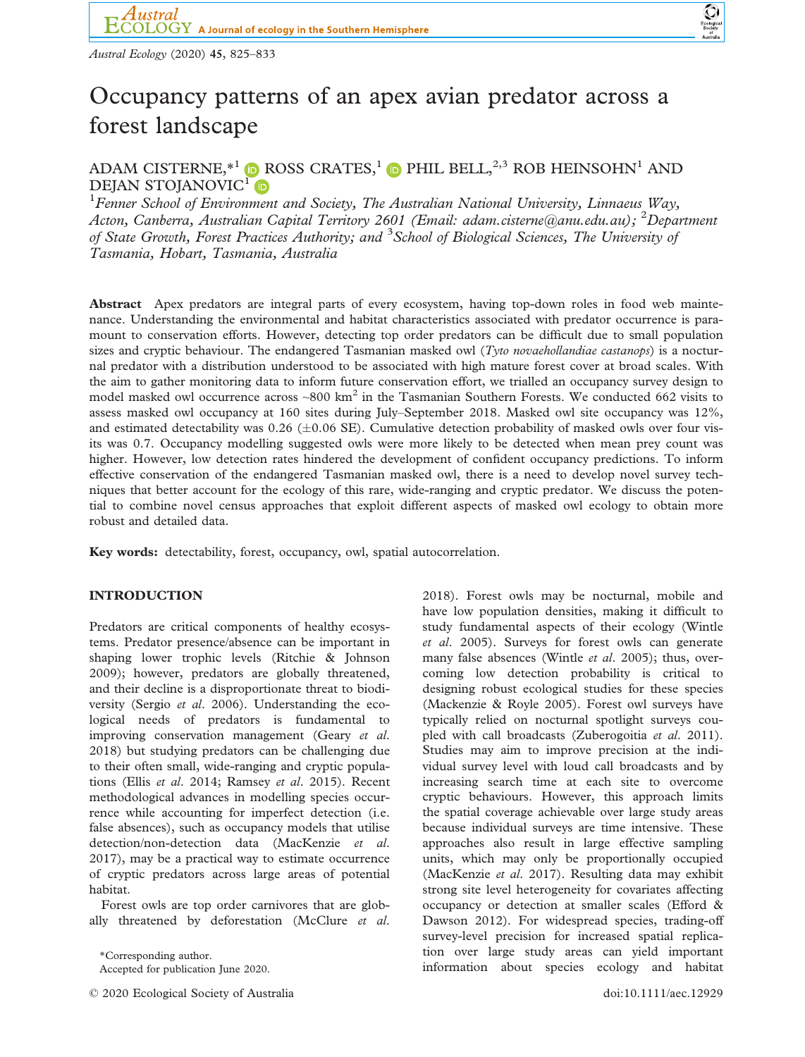

# Occupancy patterns of an apex avian predator across a forest landscape

ADAM CISTERNE, \*<sup>1</sup>  $\bullet$  ROSS CRATES,<sup>1</sup>  $\bullet$  PHIL BELL,<sup>2,3</sup> ROB HEINSOHN<sup>1</sup> AND DEJAN STOJANOVIC<sup>[1](https://orcid.org/0000-0002-9133-5388)</sup>

<sup>1</sup> Fenner School of Environment and Society, The Australian National University, Linnaeus Way, Acton, Canberra, Australian Capital Territory 2601 (Email: [adam.cisterne@anu.edu.au\)](mailto:); <sup>2</sup>Department of State Growth, Forest Practices Authority; and <sup>3</sup> School of Biological Sciences, The University of Tasmania, Hobart, Tasmania, Australia

Abstract Apex predators are integral parts of every ecosystem, having top-down roles in food web maintenance. Understanding the environmental and habitat characteristics associated with predator occurrence is paramount to conservation efforts. However, detecting top order predators can be difficult due to small population sizes and cryptic behaviour. The endangered Tasmanian masked owl (Tyto novaehollandiae castanops) is a nocturnal predator with a distribution understood to be associated with high mature forest cover at broad scales. With the aim to gather monitoring data to inform future conservation effort, we trialled an occupancy survey design to model masked owl occurrence across  $\sim 800 \text{ km}^2$  in the Tasmanian Southern Forests. We conducted 662 visits to assess masked owl occupancy at 160 sites during July–September 2018. Masked owl site occupancy was 12%, and estimated detectability was  $0.26$  ( $\pm 0.06$  SE). Cumulative detection probability of masked owls over four visits was 0.7. Occupancy modelling suggested owls were more likely to be detected when mean prey count was higher. However, low detection rates hindered the development of confident occupancy predictions. To inform effective conservation of the endangered Tasmanian masked owl, there is a need to develop novel survey techniques that better account for the ecology of this rare, wide-ranging and cryptic predator. We discuss the potential to combine novel census approaches that exploit different aspects of masked owl ecology to obtain more robust and detailed data.

Key words: detectability, forest, occupancy, owl, spatial autocorrelation.

## INTRODUCTION

Predators are critical components of healthy ecosystems. Predator presence/absence can be important in shaping lower trophic levels (Ritchie & Johnson 2009); however, predators are globally threatened, and their decline is a disproportionate threat to biodiversity (Sergio et al. 2006). Understanding the ecological needs of predators is fundamental to improving conservation management (Geary et al. 2018) but studying predators can be challenging due to their often small, wide-ranging and cryptic populations (Ellis et al. 2014; Ramsey et al. 2015). Recent methodological advances in modelling species occurrence while accounting for imperfect detection (i.e. false absences), such as occupancy models that utilise detection/non-detection data (MacKenzie et al. 2017), may be a practical way to estimate occurrence of cryptic predators across large areas of potential habitat.

Forest owls are top order carnivores that are globally threatened by deforestation (McClure et al.

Accepted for publication June 2020.

© 2020 Ecological Society of Australia doi:10.1111/aec.12929

2018). Forest owls may be nocturnal, mobile and have low population densities, making it difficult to study fundamental aspects of their ecology (Wintle et al. 2005). Surveys for forest owls can generate many false absences (Wintle et al. 2005); thus, overcoming low detection probability is critical to designing robust ecological studies for these species (Mackenzie & Royle 2005). Forest owl surveys have typically relied on nocturnal spotlight surveys coupled with call broadcasts (Zuberogoitia et al. 2011). Studies may aim to improve precision at the individual survey level with loud call broadcasts and by increasing search time at each site to overcome cryptic behaviours. However, this approach limits the spatial coverage achievable over large study areas because individual surveys are time intensive. These approaches also result in large effective sampling units, which may only be proportionally occupied (MacKenzie et al. 2017). Resulting data may exhibit strong site level heterogeneity for covariates affecting occupancy or detection at smaller scales (Efford & Dawson 2012). For widespread species, trading-off survey-level precision for increased spatial replication over large study areas can yield important \*Corresponding author.<br>Accepted for publication June 2020. The second of the second information about species ecology and habitat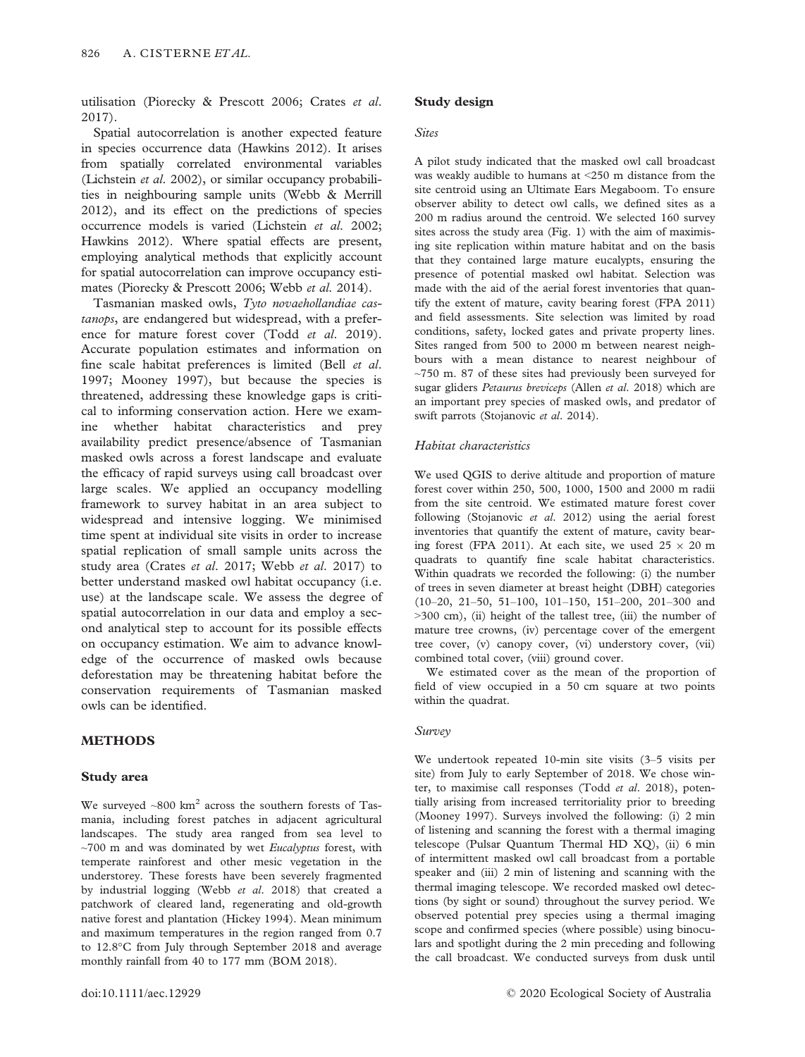utilisation (Piorecky & Prescott 2006; Crates et al. 2017).

Spatial autocorrelation is another expected feature in species occurrence data (Hawkins 2012). It arises from spatially correlated environmental variables (Lichstein et al. 2002), or similar occupancy probabilities in neighbouring sample units (Webb & Merrill 2012), and its effect on the predictions of species occurrence models is varied (Lichstein et al. 2002; Hawkins 2012). Where spatial effects are present, employing analytical methods that explicitly account for spatial autocorrelation can improve occupancy estimates (Piorecky & Prescott 2006; Webb et al. 2014).

Tasmanian masked owls, Tyto novaehollandiae castanops, are endangered but widespread, with a preference for mature forest cover (Todd et al. 2019). Accurate population estimates and information on fine scale habitat preferences is limited (Bell et al. 1997; Mooney 1997), but because the species is threatened, addressing these knowledge gaps is critical to informing conservation action. Here we examine whether habitat characteristics and prey availability predict presence/absence of Tasmanian masked owls across a forest landscape and evaluate the efficacy of rapid surveys using call broadcast over large scales. We applied an occupancy modelling framework to survey habitat in an area subject to widespread and intensive logging. We minimised time spent at individual site visits in order to increase spatial replication of small sample units across the study area (Crates et al. 2017; Webb et al. 2017) to better understand masked owl habitat occupancy (i.e. use) at the landscape scale. We assess the degree of spatial autocorrelation in our data and employ a second analytical step to account for its possible effects on occupancy estimation. We aim to advance knowledge of the occurrence of masked owls because deforestation may be threatening habitat before the conservation requirements of Tasmanian masked owls can be identified.

## METHODS

#### Study area

We surveyed  $~800$  km<sup>2</sup> across the southern forests of Tasmania, including forest patches in adjacent agricultural landscapes. The study area ranged from sea level to  $~\sim$ 700 m and was dominated by wet *Eucalyptus* forest, with temperate rainforest and other mesic vegetation in the understorey. These forests have been severely fragmented by industrial logging (Webb et al. 2018) that created a patchwork of cleared land, regenerating and old-growth native forest and plantation (Hickey 1994). Mean minimum and maximum temperatures in the region ranged from 0.7 to 12.8°C from July through September 2018 and average monthly rainfall from 40 to 177 mm (BOM 2018).

#### Sites

A pilot study indicated that the masked owl call broadcast was weakly audible to humans at <250 m distance from the site centroid using an Ultimate Ears Megaboom. To ensure observer ability to detect owl calls, we defined sites as a 200 m radius around the centroid. We selected 160 survey sites across the study area (Fig. 1) with the aim of maximising site replication within mature habitat and on the basis that they contained large mature eucalypts, ensuring the presence of potential masked owl habitat. Selection was made with the aid of the aerial forest inventories that quantify the extent of mature, cavity bearing forest (FPA 2011) and field assessments. Site selection was limited by road conditions, safety, locked gates and private property lines. Sites ranged from 500 to 2000 m between nearest neighbours with a mean distance to nearest neighbour of  $\sim$ 750 m. 87 of these sites had previously been surveyed for sugar gliders Petaurus breviceps (Allen et al. 2018) which are an important prey species of masked owls, and predator of swift parrots (Stojanovic et al. 2014).

#### Habitat characteristics

We used QGIS to derive altitude and proportion of mature forest cover within 250, 500, 1000, 1500 and 2000 m radii from the site centroid. We estimated mature forest cover following (Stojanovic et al. 2012) using the aerial forest inventories that quantify the extent of mature, cavity bearing forest (FPA 2011). At each site, we used  $25 \times 20$  m quadrats to quantify fine scale habitat characteristics. Within quadrats we recorded the following: (i) the number of trees in seven diameter at breast height (DBH) categories (10–20, 21–50, 51–100, 101–150, 151–200, 201–300 and >300 cm), (ii) height of the tallest tree, (iii) the number of mature tree crowns, (iv) percentage cover of the emergent tree cover, (v) canopy cover, (vi) understory cover, (vii) combined total cover, (viii) ground cover.

We estimated cover as the mean of the proportion of field of view occupied in a 50 cm square at two points within the quadrat.

#### Survey

We undertook repeated 10-min site visits (3–5 visits per site) from July to early September of 2018. We chose winter, to maximise call responses (Todd et al. 2018), potentially arising from increased territoriality prior to breeding (Mooney 1997). Surveys involved the following: (i) 2 min of listening and scanning the forest with a thermal imaging telescope (Pulsar Quantum Thermal HD XQ), (ii) 6 min of intermittent masked owl call broadcast from a portable speaker and (iii) 2 min of listening and scanning with the thermal imaging telescope. We recorded masked owl detections (by sight or sound) throughout the survey period. We observed potential prey species using a thermal imaging scope and confirmed species (where possible) using binoculars and spotlight during the 2 min preceding and following the call broadcast. We conducted surveys from dusk until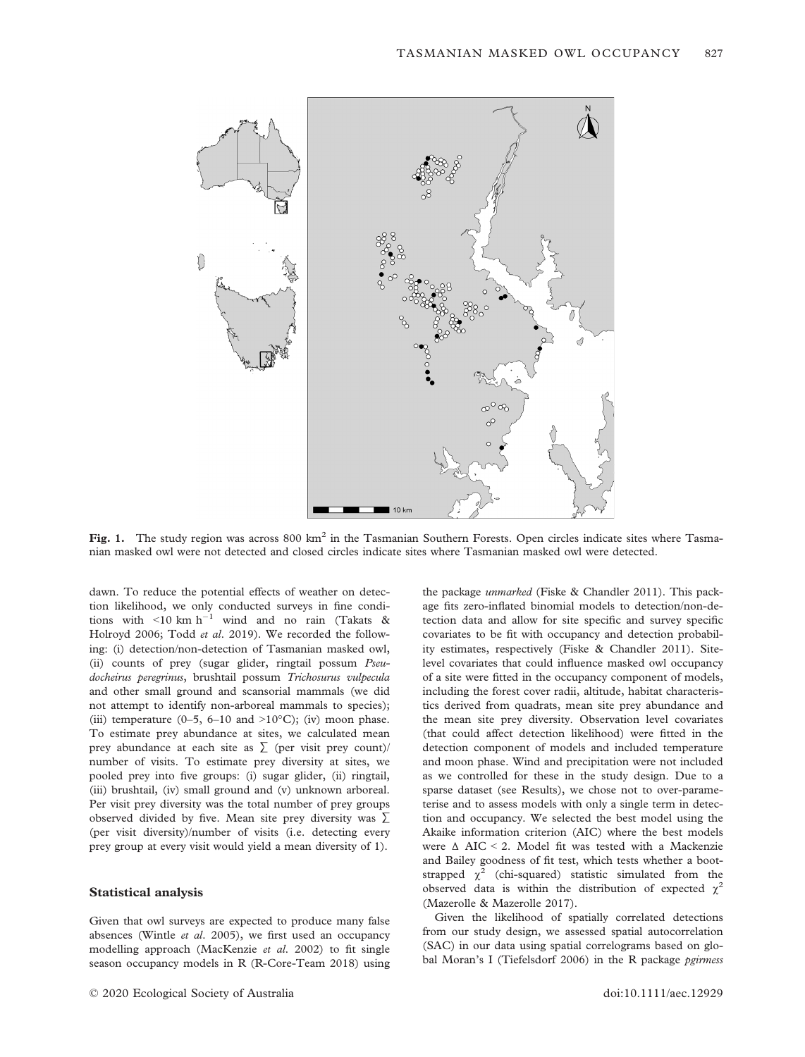

Fig. 1. The study region was across  $800 \text{ km}^2$  in the Tasmanian Southern Forests. Open circles indicate sites where Tasmanian masked owl were not detected and closed circles indicate sites where Tasmanian masked owl were detected.

dawn. To reduce the potential effects of weather on detection likelihood, we only conducted surveys in fine conditions with  $\leq 10$  km h<sup>-1</sup> wind and no rain (Takats & Holroyd 2006; Todd et al. 2019). We recorded the following: (i) detection/non-detection of Tasmanian masked owl, (ii) counts of prey (sugar glider, ringtail possum Pseudocheirus peregrinus, brushtail possum Trichosurus vulpecula and other small ground and scansorial mammals (we did not attempt to identify non-arboreal mammals to species); (iii) temperature (0–5, 6–10 and >10 $^{\circ}$ C); (iv) moon phase. To estimate prey abundance at sites, we calculated mean prey abundance at each site as  $\sum$  (per visit prey count)/ number of visits. To estimate prey diversity at sites, we pooled prey into five groups: (i) sugar glider, (ii) ringtail, (iii) brushtail, (iv) small ground and (v) unknown arboreal. Per visit prey diversity was the total number of prey groups observed divided by five. Mean site prey diversity was ∑ (per visit diversity)/number of visits (i.e. detecting every prey group at every visit would yield a mean diversity of 1).

## Statistical analysis

Given that owl surveys are expected to produce many false absences (Wintle et al. 2005), we first used an occupancy modelling approach (MacKenzie et al. 2002) to fit single season occupancy models in R (R-Core-Team 2018) using

the package unmarked (Fiske & Chandler 2011). This package fits zero-inflated binomial models to detection/non-detection data and allow for site specific and survey specific covariates to be fit with occupancy and detection probability estimates, respectively (Fiske & Chandler 2011). Sitelevel covariates that could influence masked owl occupancy of a site were fitted in the occupancy component of models, including the forest cover radii, altitude, habitat characteristics derived from quadrats, mean site prey abundance and the mean site prey diversity. Observation level covariates (that could affect detection likelihood) were fitted in the detection component of models and included temperature and moon phase. Wind and precipitation were not included as we controlled for these in the study design. Due to a sparse dataset (see Results), we chose not to over-parameterise and to assess models with only a single term in detection and occupancy. We selected the best model using the Akaike information criterion (AIC) where the best models were Δ AIC < 2. Model fit was tested with a Mackenzie and Bailey goodness of fit test, which tests whether a bootstrapped  $\chi^2$  (chi-squared) statistic simulated from the observed data is within the distribution of expected  $\chi^2$ (Mazerolle & Mazerolle 2017).

Given the likelihood of spatially correlated detections from our study design, we assessed spatial autocorrelation (SAC) in our data using spatial correlograms based on global Moran's I (Tiefelsdorf 2006) in the R package pgirmess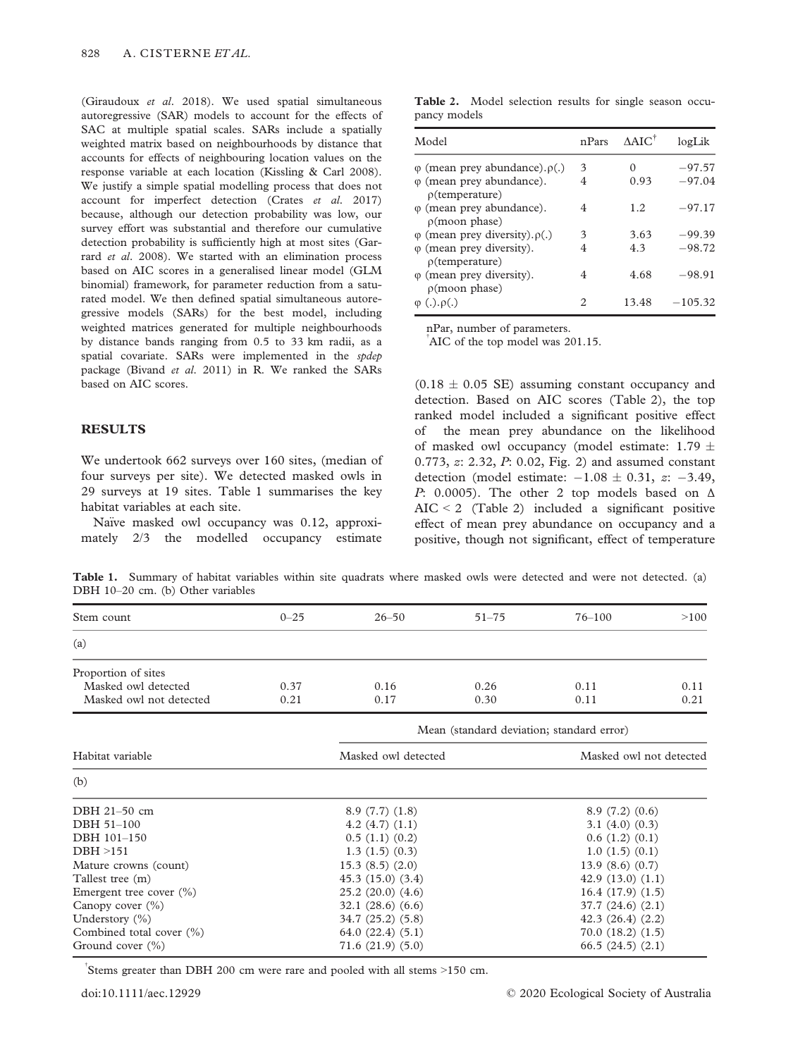(Giraudoux et al. 2018). We used spatial simultaneous autoregressive (SAR) models to account for the effects of SAC at multiple spatial scales. SARs include a spatially weighted matrix based on neighbourhoods by distance that accounts for effects of neighbouring location values on the response variable at each location (Kissling & Carl 2008). We justify a simple spatial modelling process that does not account for imperfect detection (Crates et al. 2017) because, although our detection probability was low, our survey effort was substantial and therefore our cumulative detection probability is sufficiently high at most sites (Garrard et al. 2008). We started with an elimination process based on AIC scores in a generalised linear model (GLM binomial) framework, for parameter reduction from a saturated model. We then defined spatial simultaneous autoregressive models (SARs) for the best model, including weighted matrices generated for multiple neighbourhoods by distance bands ranging from 0.5 to 33 km radii, as a spatial covariate. SARs were implemented in the spdep package (Bivand et al. 2011) in R. We ranked the SARs based on AIC scores.

## RESULTS

We undertook 662 surveys over 160 sites, (median of four surveys per site). We detected masked owls in 29 surveys at 19 sites. Table 1 summarises the key habitat variables at each site.

Naïve masked owl occupancy was 0.12, approximately 2/3 the modelled occupancy estimate

Table 2. Model selection results for single season occupancy models

| Model                                                    | nPars | $\triangle$ AIC <sup>†</sup> | logLik    |
|----------------------------------------------------------|-------|------------------------------|-----------|
| $\varphi$ (mean prey abundance). $\rho(.)$               | 3     | $\left( \right)$             | $-97.57$  |
| $\varphi$ (mean prey abundance).<br>$\rho$ (temperature) | 4     | 0.93                         | $-97.04$  |
| $\varphi$ (mean prey abundance).<br>$\rho$ (moon phase)  | 4     | 1.2.                         | $-97.17$  |
| $\varphi$ (mean prey diversity). $\rho(.)$               | 3     | 3.63                         | $-99.39$  |
| $\varphi$ (mean prey diversity).<br>$\rho$ (temperature) |       | 4.3                          | $-98.72$  |
| $\varphi$ (mean prey diversity).<br>$\rho$ (moon phase)  | 4     | 4.68                         | $-98.91$  |
| $\varphi$ (.). $\rho$ (.)                                | 2     | 13.48                        | $-105.32$ |

nPar, number of parameters.

AIC of the top model was 201.15.

 $(0.18 \pm 0.05 \text{ SE})$  assuming constant occupancy and detection. Based on AIC scores (Table 2), the top ranked model included a significant positive effect of the mean prey abundance on the likelihood of masked owl occupancy (model estimate:  $1.79 \pm$ 0.773,  $\alpha$ : 2.32,  $P$ : 0.02, Fig. 2) and assumed constant detection (model estimate:  $-1.08 \pm 0.31$ , z:  $-3.49$ , P: 0.0005). The other 2 top models based on  $\Delta$  $AIC < 2$  (Table 2) included a significant positive effect of mean prey abundance on occupancy and a positive, though not significant, effect of temperature

Table 1. Summary of habitat variables within site quadrats where masked owls were detected and were not detected. (a) DBH 10–20 cm. (b) Other variables

| Stem count                  | $0 - 25$              | $26 - 50$           | $51 - 75$                                 | $76 - 100$              | >100 |  |
|-----------------------------|-----------------------|---------------------|-------------------------------------------|-------------------------|------|--|
| (a)                         |                       |                     |                                           |                         |      |  |
| Proportion of sites         |                       |                     |                                           |                         |      |  |
| Masked owl detected         | 0.37                  | 0.16                | 0.26                                      | 0.11                    | 0.11 |  |
| Masked owl not detected     | 0.21                  | 0.17                | 0.30                                      | 0.11                    | 0.21 |  |
|                             |                       |                     | Mean (standard deviation; standard error) |                         |      |  |
| Habitat variable            |                       | Masked owl detected |                                           | Masked owl not detected |      |  |
| (b)                         |                       |                     |                                           |                         |      |  |
| DBH 21-50 cm                | 8.9(7.7)(1.8)         |                     |                                           | 8.9(7.2)(0.6)           |      |  |
| DBH 51-100                  | $4.2$ $(4.7)$ $(1.1)$ |                     |                                           | $3.1$ $(4.0)$ $(0.3)$   |      |  |
| DBH 101-150                 | 0.5(1.1)(0.2)         |                     |                                           | 0.6(1.2)(0.1)           |      |  |
| DBH > 151                   | 1.3(1.5)(0.3)         |                     |                                           | 1.0(1.5)(0.1)           |      |  |
| Mature crowns (count)       | 15.3(8.5)(2.0)        |                     |                                           | 13.9(8.6)(0.7)          |      |  |
| Tallest tree (m)            | 45.3(15.0)(3.4)       |                     |                                           | 42.9(13.0)(1.1)         |      |  |
| Emergent tree cover $(\% )$ | 25.2(20.0)(4.6)       |                     |                                           | 16.4(17.9)(1.5)         |      |  |

Canopy cover (%) 32.1 (28.6) (6.6) 37.7 (24.6) (2.1) Understory (%) 34.7 (25.2) (5.8) 42.3 (26.4) (2.2) Combined total cover (%) 64.0 (22.4) (5.1) 70.0 (18.2) (1.5) Ground cover (%) 71.6 (21.9) (5.0) 66.5 (24.5) (2.1)

† Stems greater than DBH 200 cm were rare and pooled with all stems >150 cm.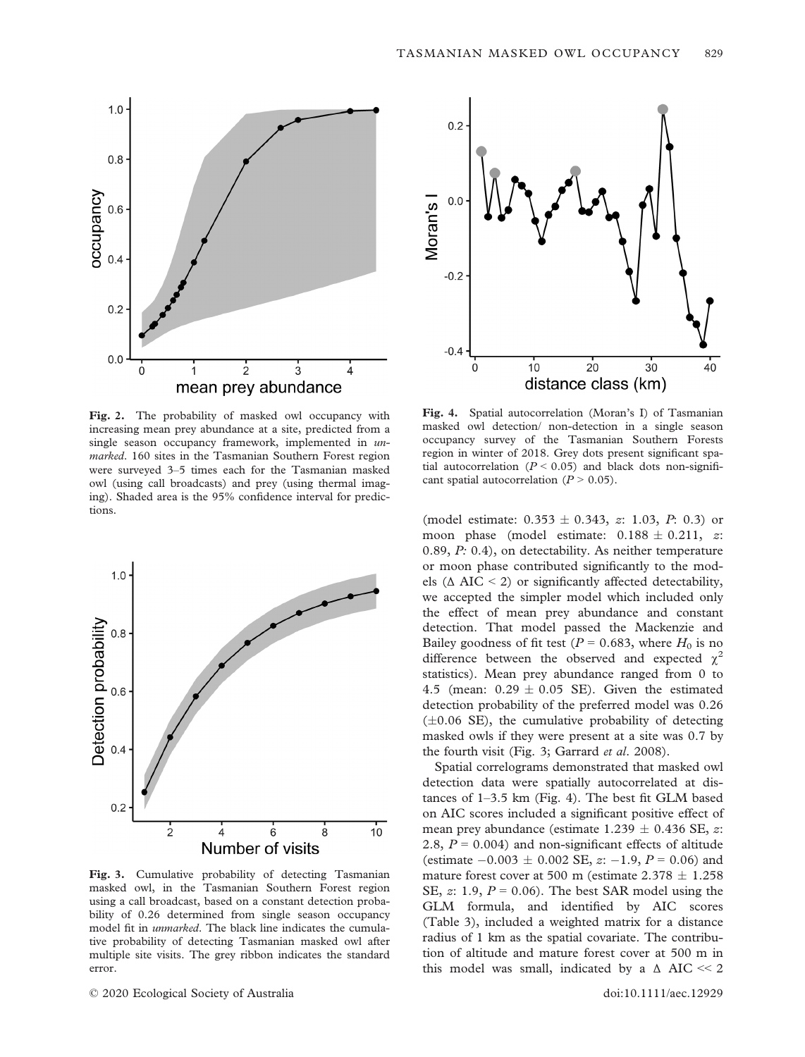

Fig. 2. The probability of masked owl occupancy with increasing mean prey abundance at a site, predicted from a single season occupancy framework, implemented in  $un$ marked. 160 sites in the Tasmanian Southern Forest region were surveyed 3–5 times each for the Tasmanian masked owl (using call broadcasts) and prey (using thermal imaging). Shaded area is the 95% confidence interval for predictions.



Fig. 3. Cumulative probability of detecting Tasmanian masked owl, in the Tasmanian Southern Forest region using a call broadcast, based on a constant detection probability of 0.26 determined from single season occupancy model fit in unmarked. The black line indicates the cumulative probability of detecting Tasmanian masked owl after multiple site visits. The grey ribbon indicates the standard error.



Fig. 4. Spatial autocorrelation (Moran's I) of Tasmanian masked owl detection/ non-detection in a single season occupancy survey of the Tasmanian Southern Forests region in winter of 2018. Grey dots present significant spatial autocorrelation ( $P < 0.05$ ) and black dots non-significant spatial autocorrelation  $(P > 0.05)$ .

(model estimate:  $0.353 \pm 0.343$ , z: 1.03, P: 0.3) or moon phase (model estimate:  $0.188 \pm 0.211$ , z: 0.89, P: 0.4), on detectability. As neither temperature or moon phase contributed significantly to the models ( $\triangle$  AIC < 2) or significantly affected detectability, we accepted the simpler model which included only the effect of mean prey abundance and constant detection. That model passed the Mackenzie and Bailey goodness of fit test ( $P = 0.683$ , where  $H_0$  is no difference between the observed and expected  $\chi^2$ statistics). Mean prey abundance ranged from 0 to 4.5 (mean:  $0.29 \pm 0.05$  SE). Given the estimated detection probability of the preferred model was 0.26  $(\pm 0.06 \text{ SE})$ , the cumulative probability of detecting masked owls if they were present at a site was 0.7 by the fourth visit (Fig. 3; Garrard et al. 2008).

Spatial correlograms demonstrated that masked owl detection data were spatially autocorrelated at distances of 1–3.5 km (Fig. 4). The best fit GLM based on AIC scores included a significant positive effect of mean prey abundance (estimate  $1.239 \pm 0.436$  SE, z: 2.8,  $P = 0.004$ ) and non-significant effects of altitude (estimate  $-0.003 \pm 0.002$  SE,  $z: -1.9$ ,  $P = 0.06$ ) and mature forest cover at 500 m (estimate  $2.378 \pm 1.258$ SE, z: 1.9,  $P = 0.06$ ). The best SAR model using the GLM formula, and identified by AIC scores (Table 3), included a weighted matrix for a distance radius of 1 km as the spatial covariate. The contribution of altitude and mature forest cover at 500 m in this model was small, indicated by a  $\triangle$  AIC  $\ll$  2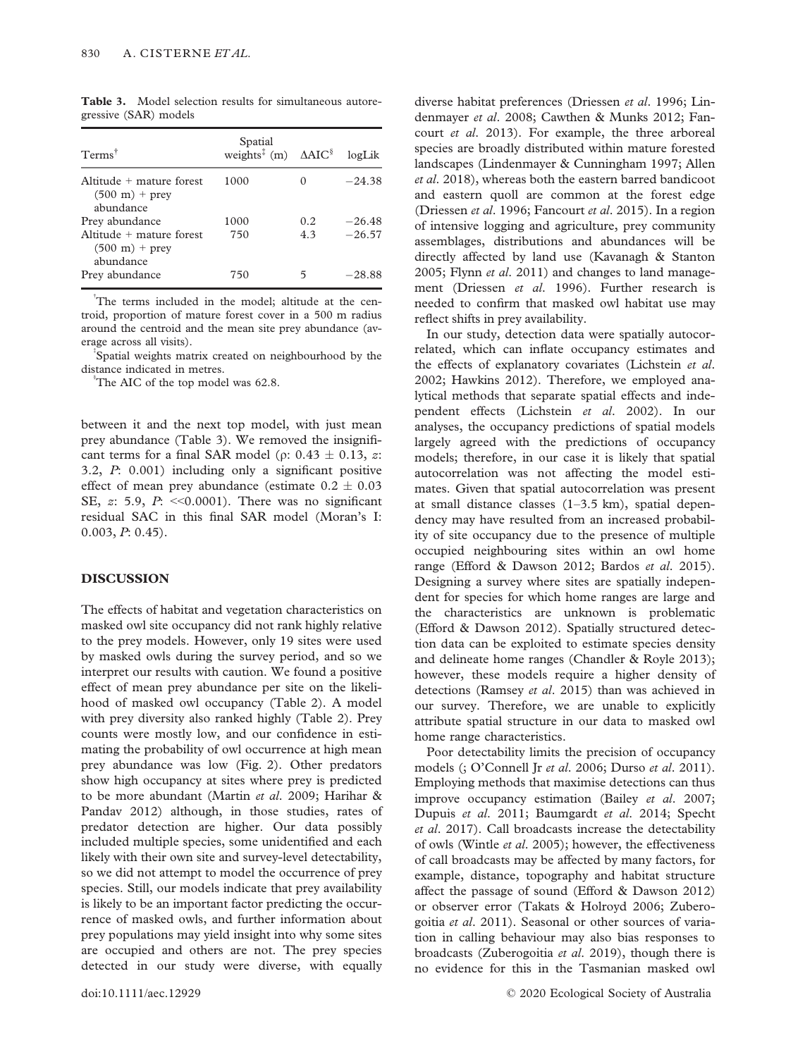| Terms <sup>†</sup>                                                         | Spatial<br>weights <sup><math>\ddagger</math></sup> (m) $\triangle AIC^{\S}$ |     | logLik   |
|----------------------------------------------------------------------------|------------------------------------------------------------------------------|-----|----------|
| $Altitude + mature forest$<br>$(500 \text{ m}) + \text{prev}$<br>abundance | 1000                                                                         |     | $-24.38$ |
| Prey abundance                                                             | 1000                                                                         | 0.2 | $-26.48$ |
| Altitude $+$ mature forest<br>$(500 \text{ m}) + \text{prev}$<br>abundance | 750                                                                          | 4.3 | $-26.57$ |
| Prey abundance                                                             | 750                                                                          |     | -28.88   |

Table 3. Model selection results for simultaneous autoregressive (SAR) models

<sup>†</sup>The terms included in the model; altitude at the centroid, proportion of mature forest cover in a 500 m radius around the centroid and the mean site prey abundance (average across all visits). ‡

Spatial weights matrix created on neighbourhood by the distance indicated in metres.

The AIC of the top model was 62.8.

between it and the next top model, with just mean prey abundance (Table 3). We removed the insignificant terms for a final SAR model ( $\rho$ : 0.43  $\pm$  0.13, *z*: 3.2, P: 0.001) including only a significant positive effect of mean prey abundance (estimate  $0.2 \pm 0.03$ SE,  $\alpha$ : 5.9,  $P: \langle 0.0001 \rangle$ . There was no significant residual SAC in this final SAR model (Moran's I: 0.003, P: 0.45).

## **DISCUSSION**

The effects of habitat and vegetation characteristics on masked owl site occupancy did not rank highly relative to the prey models. However, only 19 sites were used by masked owls during the survey period, and so we interpret our results with caution. We found a positive effect of mean prey abundance per site on the likelihood of masked owl occupancy (Table 2). A model with prey diversity also ranked highly (Table 2). Prey counts were mostly low, and our confidence in estimating the probability of owl occurrence at high mean prey abundance was low (Fig. 2). Other predators show high occupancy at sites where prey is predicted to be more abundant (Martin et al. 2009; Harihar & Pandav 2012) although, in those studies, rates of predator detection are higher. Our data possibly included multiple species, some unidentified and each likely with their own site and survey-level detectability, so we did not attempt to model the occurrence of prey species. Still, our models indicate that prey availability is likely to be an important factor predicting the occurrence of masked owls, and further information about prey populations may yield insight into why some sites are occupied and others are not. The prey species detected in our study were diverse, with equally

diverse habitat preferences (Driessen et al. 1996; Lindenmayer et al. 2008; Cawthen & Munks 2012; Fancourt et al. 2013). For example, the three arboreal species are broadly distributed within mature forested landscapes (Lindenmayer & Cunningham 1997; Allen et al. 2018), whereas both the eastern barred bandicoot and eastern quoll are common at the forest edge (Driessen et al. 1996; Fancourt et al. 2015). In a region of intensive logging and agriculture, prey community assemblages, distributions and abundances will be directly affected by land use (Kavanagh & Stanton 2005; Flynn et al. 2011) and changes to land management (Driessen et al. 1996). Further research is needed to confirm that masked owl habitat use may reflect shifts in prey availability.

In our study, detection data were spatially autocorrelated, which can inflate occupancy estimates and the effects of explanatory covariates (Lichstein et al. 2002; Hawkins 2012). Therefore, we employed analytical methods that separate spatial effects and independent effects (Lichstein et al. 2002). In our analyses, the occupancy predictions of spatial models largely agreed with the predictions of occupancy models; therefore, in our case it is likely that spatial autocorrelation was not affecting the model estimates. Given that spatial autocorrelation was present at small distance classes (1–3.5 km), spatial dependency may have resulted from an increased probability of site occupancy due to the presence of multiple occupied neighbouring sites within an owl home range (Efford & Dawson 2012; Bardos et al. 2015). Designing a survey where sites are spatially independent for species for which home ranges are large and the characteristics are unknown is problematic (Efford & Dawson 2012). Spatially structured detection data can be exploited to estimate species density and delineate home ranges (Chandler & Royle 2013); however, these models require a higher density of detections (Ramsey et al. 2015) than was achieved in our survey. Therefore, we are unable to explicitly attribute spatial structure in our data to masked owl home range characteristics.

Poor detectability limits the precision of occupancy models (; O'Connell Jr et al. 2006; Durso et al. 2011). Employing methods that maximise detections can thus improve occupancy estimation (Bailey et al. 2007; Dupuis et al. 2011; Baumgardt et al. 2014; Specht et al. 2017). Call broadcasts increase the detectability of owls (Wintle et al. 2005); however, the effectiveness of call broadcasts may be affected by many factors, for example, distance, topography and habitat structure affect the passage of sound (Efford & Dawson 2012) or observer error (Takats & Holroyd 2006; Zuberogoitia et al. 2011). Seasonal or other sources of variation in calling behaviour may also bias responses to broadcasts (Zuberogoitia et al. 2019), though there is no evidence for this in the Tasmanian masked owl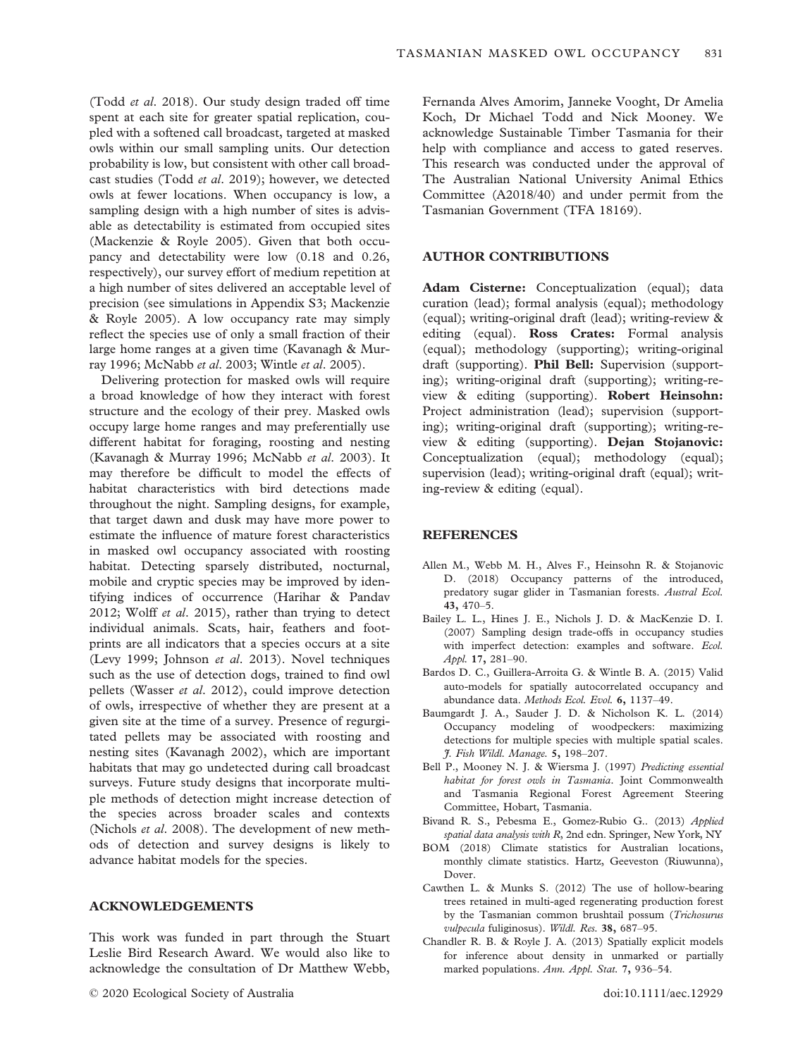(Todd et al. 2018). Our study design traded off time spent at each site for greater spatial replication, coupled with a softened call broadcast, targeted at masked owls within our small sampling units. Our detection probability is low, but consistent with other call broadcast studies (Todd et al. 2019); however, we detected owls at fewer locations. When occupancy is low, a sampling design with a high number of sites is advisable as detectability is estimated from occupied sites (Mackenzie & Royle 2005). Given that both occupancy and detectability were low (0.18 and 0.26, respectively), our survey effort of medium repetition at a high number of sites delivered an acceptable level of precision (see simulations in Appendix S3; Mackenzie & Royle 2005). A low occupancy rate may simply reflect the species use of only a small fraction of their large home ranges at a given time (Kavanagh & Murray 1996; McNabb et al. 2003; Wintle et al. 2005).

Delivering protection for masked owls will require a broad knowledge of how they interact with forest structure and the ecology of their prey. Masked owls occupy large home ranges and may preferentially use different habitat for foraging, roosting and nesting (Kavanagh & Murray 1996; McNabb et al. 2003). It may therefore be difficult to model the effects of habitat characteristics with bird detections made throughout the night. Sampling designs, for example, that target dawn and dusk may have more power to estimate the influence of mature forest characteristics in masked owl occupancy associated with roosting habitat. Detecting sparsely distributed, nocturnal, mobile and cryptic species may be improved by identifying indices of occurrence (Harihar & Pandav 2012; Wolff et al. 2015), rather than trying to detect individual animals. Scats, hair, feathers and footprints are all indicators that a species occurs at a site (Levy 1999; Johnson et al. 2013). Novel techniques such as the use of detection dogs, trained to find owl pellets (Wasser et al. 2012), could improve detection of owls, irrespective of whether they are present at a given site at the time of a survey. Presence of regurgitated pellets may be associated with roosting and nesting sites (Kavanagh 2002), which are important habitats that may go undetected during call broadcast surveys. Future study designs that incorporate multiple methods of detection might increase detection of the species across broader scales and contexts (Nichols et al. 2008). The development of new methods of detection and survey designs is likely to advance habitat models for the species.

## ACKNOWLEDGEMENTS

This work was funded in part through the Stuart Leslie Bird Research Award. We would also like to acknowledge the consultation of Dr Matthew Webb,

Fernanda Alves Amorim, Janneke Vooght, Dr Amelia Koch, Dr Michael Todd and Nick Mooney. We acknowledge Sustainable Timber Tasmania for their help with compliance and access to gated reserves. This research was conducted under the approval of The Australian National University Animal Ethics Committee (A2018/40) and under permit from the Tasmanian Government (TFA 18169).

#### AUTHOR CONTRIBUTIONS

Adam Cisterne: Conceptualization (equal); data curation (lead); formal analysis (equal); methodology (equal); writing-original draft (lead); writing-review & editing (equal). **Ross Crates:** Formal analysis (equal); methodology (supporting); writing-original draft (supporting). Phil Bell: Supervision (supporting); writing-original draft (supporting); writing-review & editing (supporting). Robert Heinsohn: Project administration (lead); supervision (supporting); writing-original draft (supporting); writing-review & editing (supporting). Dejan Stojanovic: Conceptualization (equal); methodology (equal); supervision (lead); writing-original draft (equal); writing-review & editing (equal).

#### **REFERENCES**

- Allen M., Webb M. H., Alves F., Heinsohn R. & Stojanovic D. (2018) Occupancy patterns of the introduced, predatory sugar glider in Tasmanian forests. Austral Ecol. 43, 470–5.
- Bailey L. L., Hines J. E., Nichols J. D. & MacKenzie D. I. (2007) Sampling design trade-offs in occupancy studies with imperfect detection: examples and software. Ecol. Appl. 17, 281–90.
- Bardos D. C., Guillera-Arroita G. & Wintle B. A. (2015) Valid auto-models for spatially autocorrelated occupancy and abundance data. Methods Ecol. Evol. 6, 1137–49.
- Baumgardt J. A., Sauder J. D. & Nicholson K. L. (2014) Occupancy modeling of woodpeckers: maximizing detections for multiple species with multiple spatial scales. J. Fish Wildl. Manage. 5, 198–207.
- Bell P., Mooney N. J. & Wiersma J. (1997) Predicting essential habitat for forest owls in Tasmania. Joint Commonwealth and Tasmania Regional Forest Agreement Steering Committee, Hobart, Tasmania.
- Bivand R. S., Pebesma E., Gomez-Rubio G.. (2013) Applied spatial data analysis with R, 2nd edn. Springer, New York, NY
- BOM (2018) Climate statistics for Australian locations, monthly climate statistics. Hartz, Geeveston (Riuwunna), Dover.
- Cawthen L. & Munks S. (2012) The use of hollow-bearing trees retained in multi-aged regenerating production forest by the Tasmanian common brushtail possum (Trichosurus vulpecula fuliginosus). Wildl. Res. 38, 687–95.
- Chandler R. B. & Royle J. A. (2013) Spatially explicit models for inference about density in unmarked or partially marked populations. Ann. Appl. Stat. 7, 936–54.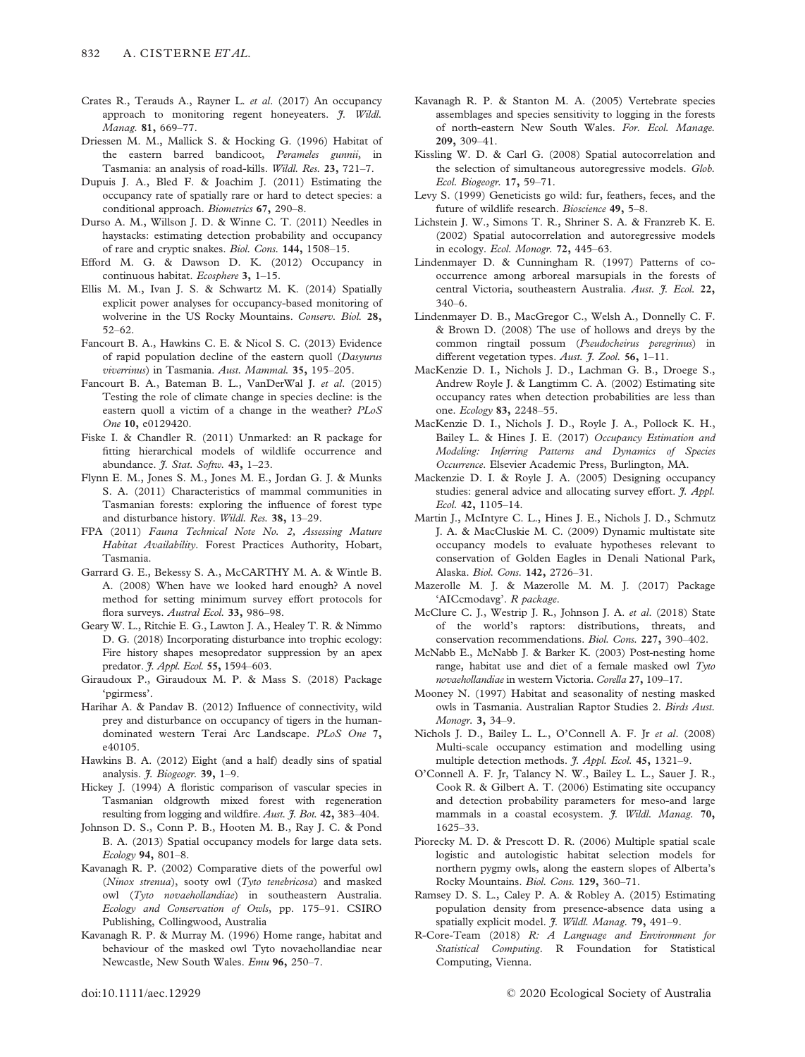- Crates R., Terauds A., Rayner L. et al. (2017) An occupancy approach to monitoring regent honeyeaters. J. Wildl. Manag. 81, 669–77.
- Driessen M. M., Mallick S. & Hocking G. (1996) Habitat of the eastern barred bandicoot, Perameles gunnii, in Tasmania: an analysis of road-kills. Wildl. Res. 23, 721–7.
- Dupuis J. A., Bled F. & Joachim J. (2011) Estimating the occupancy rate of spatially rare or hard to detect species: a conditional approach. Biometrics 67, 290–8.
- Durso A. M., Willson J. D. & Winne C. T. (2011) Needles in haystacks: estimating detection probability and occupancy of rare and cryptic snakes. Biol. Cons. 144, 1508–15.
- Efford M. G. & Dawson D. K. (2012) Occupancy in continuous habitat. Ecosphere 3, 1–15.
- Ellis M. M., Ivan J. S. & Schwartz M. K. (2014) Spatially explicit power analyses for occupancy-based monitoring of wolverine in the US Rocky Mountains. Conserv. Biol. 28, 52–62.
- Fancourt B. A., Hawkins C. E. & Nicol S. C. (2013) Evidence of rapid population decline of the eastern quoll (Dasyurus viverrinus) in Tasmania. Aust. Mammal. 35, 195–205.
- Fancourt B. A., Bateman B. L., VanDerWal J. et al. (2015) Testing the role of climate change in species decline: is the eastern quoll a victim of a change in the weather? PLoS One 10, e0129420.
- Fiske I. & Chandler R. (2011) Unmarked: an R package for fitting hierarchical models of wildlife occurrence and abundance. *J. Stat. Softw.* 43, 1-23.
- Flynn E. M., Jones S. M., Jones M. E., Jordan G. J. & Munks S. A. (2011) Characteristics of mammal communities in Tasmanian forests: exploring the influence of forest type and disturbance history. Wildl. Res. 38, 13–29.
- FPA (2011) Fauna Technical Note No. 2, Assessing Mature Habitat Availability. Forest Practices Authority, Hobart, Tasmania.
- Garrard G. E., Bekessy S. A., McCARTHY M. A. & Wintle B. A. (2008) When have we looked hard enough? A novel method for setting minimum survey effort protocols for flora surveys. Austral Ecol. 33, 986-98.
- Geary W. L., Ritchie E. G., Lawton J. A., Healey T. R. & Nimmo D. G. (2018) Incorporating disturbance into trophic ecology: Fire history shapes mesopredator suppression by an apex predator. *J. Appl. Ecol.* 55, 1594-603.
- Giraudoux P., Giraudoux M. P. & Mass S. (2018) Package 'pgirmess'.
- Harihar A. & Pandav B. (2012) Influence of connectivity, wild prey and disturbance on occupancy of tigers in the humandominated western Terai Arc Landscape. PLoS One 7, e40105.
- Hawkins B. A. (2012) Eight (and a half) deadly sins of spatial analysis. *J. Biogeogr*. **39,** 1-9.
- Hickey J. (1994) A floristic comparison of vascular species in Tasmanian oldgrowth mixed forest with regeneration resulting from logging and wildfire. Aust. J. Bot. 42, 383-404.
- Johnson D. S., Conn P. B., Hooten M. B., Ray J. C. & Pond B. A. (2013) Spatial occupancy models for large data sets. Ecology 94, 801–8.
- Kavanagh R. P. (2002) Comparative diets of the powerful owl (Ninox strenua), sooty owl (Tyto tenebricosa) and masked owl (Tyto novaehollandiae) in southeastern Australia. Ecology and Conservation of Owls, pp. 175–91. CSIRO Publishing, Collingwood, Australia
- Kavanagh R. P. & Murray M. (1996) Home range, habitat and behaviour of the masked owl Tyto novaehollandiae near Newcastle, New South Wales. Emu 96, 250–7.
	-
- Kavanagh R. P. & Stanton M. A. (2005) Vertebrate species assemblages and species sensitivity to logging in the forests of north-eastern New South Wales. For. Ecol. Manage. 209, 309–41.
- Kissling W. D. & Carl G. (2008) Spatial autocorrelation and the selection of simultaneous autoregressive models. Glob. Ecol. Biogeogr. 17, 59–71.
- Levy S. (1999) Geneticists go wild: fur, feathers, feces, and the future of wildlife research. Bioscience 49, 5–8.
- Lichstein J. W., Simons T. R., Shriner S. A. & Franzreb K. E. (2002) Spatial autocorrelation and autoregressive models in ecology. Ecol. Monogr. 72, 445–63.
- Lindenmayer D. & Cunningham R. (1997) Patterns of cooccurrence among arboreal marsupials in the forests of central Victoria, southeastern Australia. Aust. J. Ecol. 22, 340–6.
- Lindenmayer D. B., MacGregor C., Welsh A., Donnelly C. F. & Brown D. (2008) The use of hollows and dreys by the common ringtail possum (Pseudocheirus peregrinus) in different vegetation types. Aust.  $\hat{t}$ . Zool. 56, 1–11.
- MacKenzie D. I., Nichols J. D., Lachman G. B., Droege S., Andrew Royle J. & Langtimm C. A. (2002) Estimating site occupancy rates when detection probabilities are less than one. Ecology 83, 2248–55.
- MacKenzie D. I., Nichols J. D., Royle J. A., Pollock K. H., Bailey L. & Hines J. E. (2017) Occupancy Estimation and Modeling: Inferring Patterns and Dynamics of Species Occurrence. Elsevier Academic Press, Burlington, MA.
- Mackenzie D. I. & Royle J. A. (2005) Designing occupancy studies: general advice and allocating survey effort. J. Appl. Ecol. 42, 1105–14.
- Martin J., McIntyre C. L., Hines J. E., Nichols J. D., Schmutz J. A. & MacCluskie M. C. (2009) Dynamic multistate site occupancy models to evaluate hypotheses relevant to conservation of Golden Eagles in Denali National Park, Alaska. Biol. Cons. 142, 2726–31.
- Mazerolle M. J. & Mazerolle M. M. J. (2017) Package 'AICcmodavg'. R package.
- McClure C. J., Westrip J. R., Johnson J. A. et al. (2018) State of the world's raptors: distributions, threats, and conservation recommendations. Biol. Cons. 227, 390–402.
- McNabb E., McNabb J. & Barker K. (2003) Post-nesting home range, habitat use and diet of a female masked owl Tyto novaehollandiae in western Victoria. Corella 27, 109–17.
- Mooney N. (1997) Habitat and seasonality of nesting masked owls in Tasmania. Australian Raptor Studies 2. Birds Aust. Monogr. 3, 34–9.
- Nichols J. D., Bailey L. L., O'Connell A. F. Jr et al. (2008) Multi-scale occupancy estimation and modelling using multiple detection methods. *J. Appl. Ecol.* 45, 1321–9.
- O'Connell A. F. Jr, Talancy N. W., Bailey L. L., Sauer J. R., Cook R. & Gilbert A. T. (2006) Estimating site occupancy and detection probability parameters for meso-and large mammals in a coastal ecosystem. J. Wildl. Manag. 70, 1625–33.
- Piorecky M. D. & Prescott D. R. (2006) Multiple spatial scale logistic and autologistic habitat selection models for northern pygmy owls, along the eastern slopes of Alberta's Rocky Mountains. Biol. Cons. 129, 360–71.
- Ramsey D. S. L., Caley P. A. & Robley A. (2015) Estimating population density from presence-absence data using a spatially explicit model. J. Wildl. Manag. 79, 491-9.
- R-Core-Team (2018) R: A Language and Environment for Statistical Computing. R Foundation for Statistical Computing, Vienna.